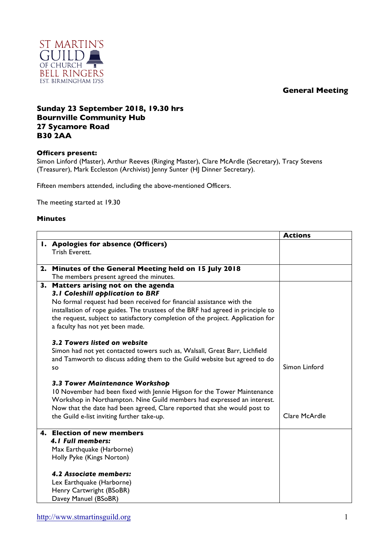## **General Meeting**



## **Sunday 23 September 2018, 19.30 hrs Bournville Community Hub 27 Sycamore Road B30 2AA**

## **Officers present:**

Simon Linford (Master), Arthur Reeves (Ringing Master), Clare McArdle (Secretary), Tracy Stevens (Treasurer), Mark Eccleston (Archivist) Jenny Sunter (HJ Dinner Secretary).

Fifteen members attended, including the above-mentioned Officers.

The meeting started at 19.30

## **Minutes**

|                                                                                                                     | <b>Actions</b> |
|---------------------------------------------------------------------------------------------------------------------|----------------|
| I. Apologies for absence (Officers)                                                                                 |                |
| Trish Everett.                                                                                                      |                |
| 2. Minutes of the General Meeting held on 15 July 2018                                                              |                |
|                                                                                                                     |                |
| The members present agreed the minutes.                                                                             |                |
| 3. Matters arising not on the agenda                                                                                |                |
| 3.1 Coleshill application to BRF                                                                                    |                |
| No formal request had been received for financial assistance with the                                               |                |
| installation of rope guides. The trustees of the BRF had agreed in principle to                                     |                |
| the request, subject to satisfactory completion of the project. Application for<br>a faculty has not yet been made. |                |
|                                                                                                                     |                |
| 3.2 Towers listed on website                                                                                        |                |
| Simon had not yet contacted towers such as, Walsall, Great Barr, Lichfield                                          |                |
| and Tamworth to discuss adding them to the Guild website but agreed to do                                           |                |
| SO                                                                                                                  | Simon Linford  |
|                                                                                                                     |                |
| 3.3 Tower Maintenance Workshop                                                                                      |                |
| 10 November had been fixed with Jennie Higson for the Tower Maintenance                                             |                |
| Workshop in Northampton. Nine Guild members had expressed an interest.                                              |                |
| Now that the date had been agreed, Clare reported that she would post to                                            |                |
| the Guild e-list inviting further take-up.                                                                          | Clare McArdle  |
|                                                                                                                     |                |
| 4. Election of new members                                                                                          |                |
| 4.1 Full members:                                                                                                   |                |
| Max Earthquake (Harborne)                                                                                           |                |
| Holly Pyke (Kings Norton)                                                                                           |                |
| 4.2 Associate members:                                                                                              |                |
| Lex Earthquake (Harborne)                                                                                           |                |
| Henry Cartwright (BSoBR)                                                                                            |                |
| Davey Manuel (BSoBR)                                                                                                |                |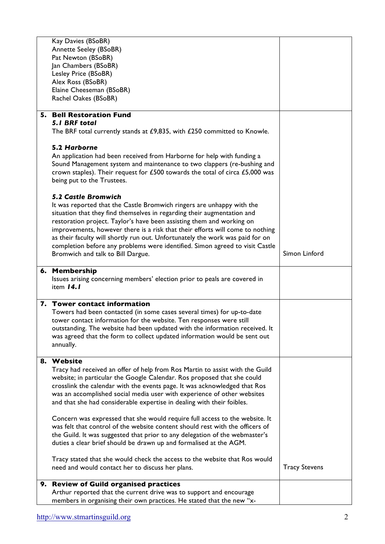|    | Kay Davies (BSoBR)                                                                                                                                 |                      |
|----|----------------------------------------------------------------------------------------------------------------------------------------------------|----------------------|
|    | <b>Annette Seeley (BSoBR)</b>                                                                                                                      |                      |
|    | Pat Newton (BSoBR)                                                                                                                                 |                      |
|    | Jan Chambers (BSoBR)                                                                                                                               |                      |
|    | Lesley Price (BSoBR)                                                                                                                               |                      |
|    | Alex Ross (BSoBR)                                                                                                                                  |                      |
|    | Elaine Cheeseman (BSoBR)                                                                                                                           |                      |
|    | Rachel Oakes (BSoBR)                                                                                                                               |                      |
|    |                                                                                                                                                    |                      |
| 5. | <b>Bell Restoration Fund</b>                                                                                                                       |                      |
|    | <b>5.1 BRF total</b>                                                                                                                               |                      |
|    | The BRF total currently stands at £9,835, with £250 committed to Knowle.                                                                           |                      |
|    |                                                                                                                                                    |                      |
|    | 5.2 Harborne                                                                                                                                       |                      |
|    | An application had been received from Harborne for help with funding a                                                                             |                      |
|    | Sound Management system and maintenance to two clappers (re-bushing and                                                                            |                      |
|    | crown staples). Their request for £500 towards the total of circa £5,000 was                                                                       |                      |
|    | being put to the Trustees.                                                                                                                         |                      |
|    |                                                                                                                                                    |                      |
|    | <b>5.2 Castle Bromwich</b>                                                                                                                         |                      |
|    | It was reported that the Castle Bromwich ringers are unhappy with the                                                                              |                      |
|    | situation that they find themselves in regarding their augmentation and                                                                            |                      |
|    | restoration project. Taylor's have been assisting them and working on                                                                              |                      |
|    | improvements, however there is a risk that their efforts will come to nothing                                                                      |                      |
|    | as their faculty will shortly run out. Unfortunately the work was paid for on                                                                      |                      |
|    | completion before any problems were identified. Simon agreed to visit Castle                                                                       |                      |
|    | Bromwich and talk to Bill Dargue.                                                                                                                  | Simon Linford        |
|    | 6. Membership                                                                                                                                      |                      |
|    | Issues arising concerning members' election prior to peals are covered in                                                                          |                      |
|    | item 14.1                                                                                                                                          |                      |
|    |                                                                                                                                                    |                      |
|    |                                                                                                                                                    |                      |
|    | 7. Tower contact information                                                                                                                       |                      |
|    |                                                                                                                                                    |                      |
|    | Towers had been contacted (in some cases several times) for up-to-date                                                                             |                      |
|    | tower contact information for the website. Ten responses were still<br>outstanding. The website had been updated with the information received. It |                      |
|    | was agreed that the form to collect updated information would be sent out                                                                          |                      |
|    | annually.                                                                                                                                          |                      |
|    |                                                                                                                                                    |                      |
|    | 8. Website                                                                                                                                         |                      |
|    | Tracy had received an offer of help from Ros Martin to assist with the Guild                                                                       |                      |
|    | website; in particular the Google Calendar. Ros proposed that she could                                                                            |                      |
|    | crosslink the calendar with the events page. It was acknowledged that Ros                                                                          |                      |
|    | was an accomplished social media user with experience of other websites                                                                            |                      |
|    | and that she had considerable expertise in dealing with their foibles.                                                                             |                      |
|    |                                                                                                                                                    |                      |
|    | Concern was expressed that she would require full access to the website. It                                                                        |                      |
|    | was felt that control of the website content should rest with the officers of                                                                      |                      |
|    | the Guild. It was suggested that prior to any delegation of the webmaster's                                                                        |                      |
|    | duties a clear brief should be drawn up and formalised at the AGM.                                                                                 |                      |
|    |                                                                                                                                                    |                      |
|    | Tracy stated that she would check the access to the website that Ros would                                                                         |                      |
|    | need and would contact her to discuss her plans.                                                                                                   | <b>Tracy Stevens</b> |
|    |                                                                                                                                                    |                      |
|    | 9. Review of Guild organised practices<br>Arthur reported that the current drive was to support and encourage                                      |                      |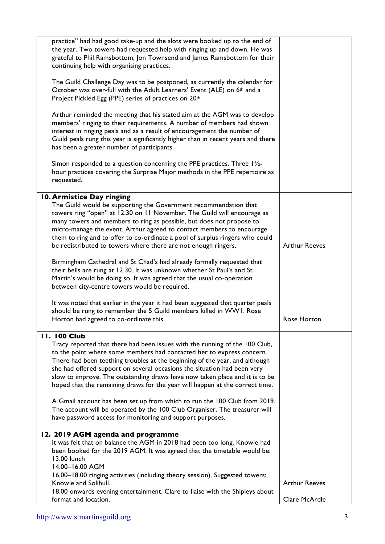| practice" had had good take-up and the slots were booked up to the end of<br>the year. Two towers had requested help with ringing up and down. He was<br>grateful to Phil Ramsbottom, Jon Townsend and James Ramsbottom for their<br>continuing help with organising practices.                                                                                                                                                                                                                                                                             |                      |
|-------------------------------------------------------------------------------------------------------------------------------------------------------------------------------------------------------------------------------------------------------------------------------------------------------------------------------------------------------------------------------------------------------------------------------------------------------------------------------------------------------------------------------------------------------------|----------------------|
| The Guild Challenge Day was to be postponed, as currently the calendar for<br>October was over-full with the Adult Learners' Event (ALE) on 6th and a<br>Project Pickled Egg (PPE) series of practices on 20th.                                                                                                                                                                                                                                                                                                                                             |                      |
| Arthur reminded the meeting that his stated aim at the AGM was to develop<br>members' ringing to their requirements. A number of members had shown<br>interest in ringing peals and as a result of encouragement the number of<br>Guild peals rung this year is significantly higher than in recent years and there<br>has been a greater number of participants.                                                                                                                                                                                           |                      |
| Simon responded to a question concerning the PPE practices. Three $1\frac{1}{2}$ -<br>hour practices covering the Surprise Major methods in the PPE repertoire as<br>requested.                                                                                                                                                                                                                                                                                                                                                                             |                      |
| 10. Armistice Day ringing                                                                                                                                                                                                                                                                                                                                                                                                                                                                                                                                   |                      |
| The Guild would be supporting the Government recommendation that<br>towers ring "open" at 12.30 on 11 November. The Guild will encourage as<br>many towers and members to ring as possible, but does not propose to<br>micro-manage the event. Arthur agreed to contact members to encourage<br>them to ring and to offer to co-ordinate a pool of surplus ringers who could<br>be redistributed to towers where there are not enough ringers.                                                                                                              | <b>Arthur Reeves</b> |
| Birmingham Cathedral and St Chad's had already formally requested that<br>their bells are rung at 12.30. It was unknown whether St Paul's and St<br>Martin's would be doing so. It was agreed that the usual co-operation<br>between city-centre towers would be required.                                                                                                                                                                                                                                                                                  |                      |
| It was noted that earlier in the year it had been suggested that quarter peals<br>should be rung to remember the 5 Guild members killed in WWI. Rose<br>Horton had agreed to co-ordinate this.                                                                                                                                                                                                                                                                                                                                                              | Rose Horton          |
| <b>11. 100 Club</b>                                                                                                                                                                                                                                                                                                                                                                                                                                                                                                                                         |                      |
| Tracy reported that there had been issues with the running of the 100 Club,<br>to the point where some members had contacted her to express concern.<br>There had been teething troubles at the beginning of the year, and although<br>she had offered support on several occasions the situation had been very<br>slow to improve. The outstanding draws have now taken place and it is to be<br>hoped that the remaining draws for the year will happen at the correct time.<br>A Gmail account has been set up from which to run the 100 Club from 2019. |                      |
| The account will be operated by the 100 Club Organiser. The treasurer will<br>have password access for monitoring and support purposes.                                                                                                                                                                                                                                                                                                                                                                                                                     |                      |
| 12. 2019 AGM agenda and programme                                                                                                                                                                                                                                                                                                                                                                                                                                                                                                                           |                      |
| It was felt that on balance the AGM in 2018 had been too long. Knowle had<br>been booked for the 2019 AGM. It was agreed that the timetable would be:<br>13.00 lunch<br>14.00-16.00 AGM                                                                                                                                                                                                                                                                                                                                                                     |                      |
| 16.00-18.00 ringing activities (including theory session). Suggested towers:<br>Knowle and Solihull.                                                                                                                                                                                                                                                                                                                                                                                                                                                        | <b>Arthur Reeves</b> |
| 18.00 onwards evening entertainment. Clare to liaise with the Shipleys about                                                                                                                                                                                                                                                                                                                                                                                                                                                                                |                      |
| format and location.                                                                                                                                                                                                                                                                                                                                                                                                                                                                                                                                        | Clare McArdle        |